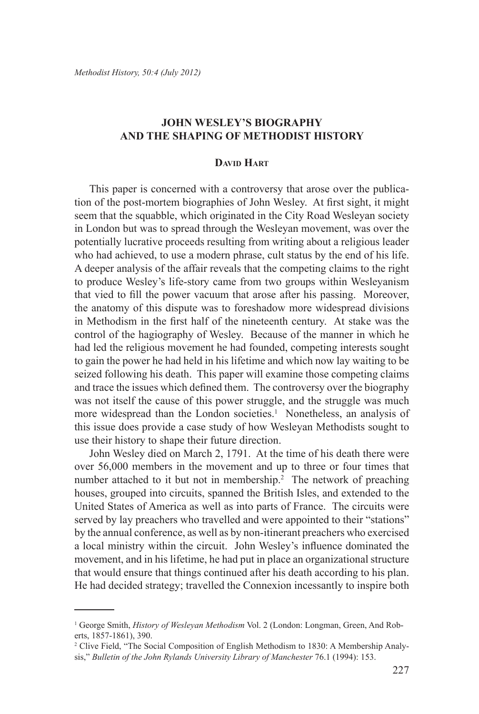## **John Wesley'S Biography and the Shaping of Methodist History**

## **David Hart**

This paper is concerned with a controversy that arose over the publication of the post-mortem biographies of John Wesley. At first sight, it might seem that the squabble, which originated in the City Road Wesleyan society in London but was to spread through the Wesleyan movement, was over the potentially lucrative proceeds resulting from writing about a religious leader who had achieved, to use a modern phrase, cult status by the end of his life. A deeper analysis of the affair reveals that the competing claims to the right to produce Wesley's life-story came from two groups within Wesleyanism that vied to fill the power vacuum that arose after his passing. Moreover, the anatomy of this dispute was to foreshadow more widespread divisions in Methodism in the first half of the nineteenth century. At stake was the control of the hagiography of Wesley. Because of the manner in which he had led the religious movement he had founded, competing interests sought to gain the power he had held in his lifetime and which now lay waiting to be seized following his death. This paper will examine those competing claims and trace the issues which defined them. The controversy over the biography was not itself the cause of this power struggle, and the struggle was much more widespread than the London societies.<sup>1</sup> Nonetheless, an analysis of this issue does provide a case study of how Wesleyan Methodists sought to use their history to shape their future direction.

John Wesley died on March 2, 1791. At the time of his death there were over 56,000 members in the movement and up to three or four times that number attached to it but not in membership.<sup>2</sup> The network of preaching houses, grouped into circuits, spanned the British Isles, and extended to the United States of America as well as into parts of France. The circuits were served by lay preachers who travelled and were appointed to their "stations" by the annual conference, as well as by non-itinerant preachers who exercised a local ministry within the circuit. John Wesley's influence dominated the movement, and in his lifetime, he had put in place an organizational structure that would ensure that things continued after his death according to his plan. He had decided strategy; travelled the Connexion incessantly to inspire both

<sup>1</sup> George Smith, *History of Wesleyan Methodism* Vol. 2 (London: Longman, Green, And Roberts, 1857-1861), 390.

<sup>2</sup> Clive Field, "The Social Composition of English Methodism to 1830: A Membership Analysis," *Bulletin of the John Rylands University Library of Manchester* 76.1 (1994): 153.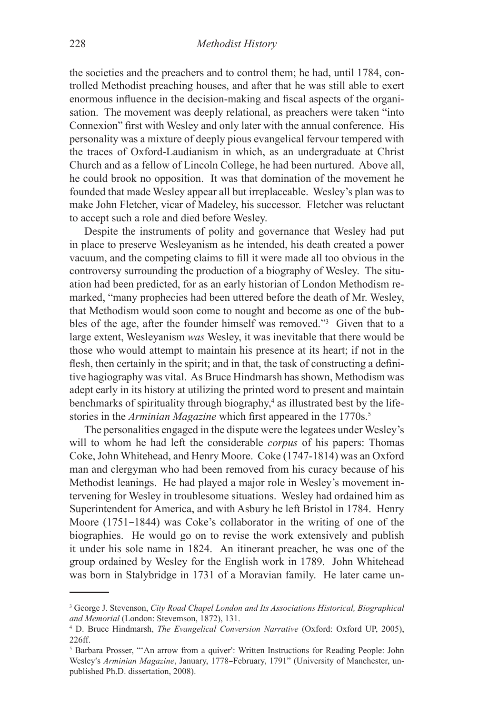the societies and the preachers and to control them; he had, until 1784, controlled Methodist preaching houses, and after that he was still able to exert enormous influence in the decision-making and fiscal aspects of the organisation. The movement was deeply relational, as preachers were taken "into Connexion" first with Wesley and only later with the annual conference. His personality was a mixture of deeply pious evangelical fervour tempered with the traces of Oxford-Laudianism in which, as an undergraduate at Christ Church and as a fellow of Lincoln College, he had been nurtured. Above all, he could brook no opposition. It was that domination of the movement he founded that made Wesley appear all but irreplaceable. Wesley's plan was to make John Fletcher, vicar of Madeley, his successor. Fletcher was reluctant to accept such a role and died before Wesley.

Despite the instruments of polity and governance that Wesley had put in place to preserve Wesleyanism as he intended, his death created a power vacuum, and the competing claims to fill it were made all too obvious in the controversy surrounding the production of a biography of Wesley. The situation had been predicted, for as an early historian of London Methodism remarked, "many prophecies had been uttered before the death of Mr. Wesley, that Methodism would soon come to nought and become as one of the bubbles of the age, after the founder himself was removed."<sup>3</sup> Given that to a large extent, Wesleyanism *was* Wesley, it was inevitable that there would be those who would attempt to maintain his presence at its heart; if not in the flesh, then certainly in the spirit; and in that, the task of constructing a definitive hagiography was vital. As Bruce Hindmarsh has shown, Methodism was adept early in its history at utilizing the printed word to present and maintain benchmarks of spirituality through biography,<sup>4</sup> as illustrated best by the lifestories in the *Arminian Magazine* which first appeared in the 1770s.<sup>5</sup>

The personalities engaged in the dispute were the legatees under Wesley's will to whom he had left the considerable *corpus* of his papers: Thomas Coke, John Whitehead, and Henry Moore. Coke (1747-1814) was an Oxford man and clergyman who had been removed from his curacy because of his Methodist leanings. He had played a major role in Wesley's movement intervening for Wesley in troublesome situations. Wesley had ordained him as Superintendent for America, and with Asbury he left Bristol in 1784. Henry Moore  $(1751-1844)$  was Coke's collaborator in the writing of one of the biographies. He would go on to revise the work extensively and publish it under his sole name in 1824. An itinerant preacher, he was one of the group ordained by Wesley for the English work in 1789. John Whitehead was born in Stalybridge in 1731 of a Moravian family. He later came un-

<sup>&</sup>lt;sup>3</sup> George J. Stevenson, *City Road Chapel London and Its Associations Historical, Biographical and Memorial* (London: Stevemson, 1872), 131.

<sup>4</sup> D. Bruce Hindmarsh, *The Evangelical Conversion Narrative* (Oxford: Oxford UP, 2005), 226ff.

<sup>&</sup>lt;sup>5</sup> Barbara Prosser, "An arrow from a quiver': Written Instructions for Reading People: John Wesley's *Arminian Magazine*, January, 1778-February, 1791" (University of Manchester, unpublished Ph.D. dissertation, 2008).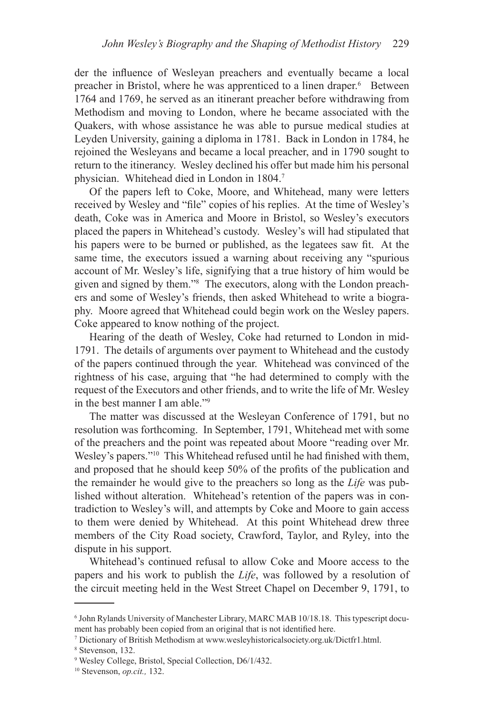der the influence of Wesleyan preachers and eventually became a local preacher in Bristol, where he was apprenticed to a linen draper.<sup>6</sup> Between 1764 and 1769, he served as an itinerant preacher before withdrawing from Methodism and moving to London, where he became associated with the Quakers, with whose assistance he was able to pursue medical studies at Leyden University, gaining a diploma in 1781. Back in London in 1784, he rejoined the Wesleyans and became a local preacher, and in 1790 sought to return to the itinerancy. Wesley declined his offer but made him his personal physician. Whitehead died in London in 1804.7

Of the papers left to Coke, Moore, and Whitehead, many were letters received by Wesley and "file" copies of his replies. At the time of Wesley's death, Coke was in America and Moore in Bristol, so Wesley's executors placed the papers in Whitehead's custody. Wesley's will had stipulated that his papers were to be burned or published, as the legatees saw fit. At the same time, the executors issued a warning about receiving any "spurious account of Mr. Wesley's life, signifying that a true history of him would be given and signed by them."8 The executors, along with the London preachers and some of Wesley's friends, then asked Whitehead to write a biography. Moore agreed that Whitehead could begin work on the Wesley papers. Coke appeared to know nothing of the project.

Hearing of the death of Wesley, Coke had returned to London in mid-1791. The details of arguments over payment to Whitehead and the custody of the papers continued through the year. Whitehead was convinced of the rightness of his case, arguing that "he had determined to comply with the request of the Executors and other friends, and to write the life of Mr. Wesley in the best manner I am able "9"

The matter was discussed at the Wesleyan Conference of 1791, but no resolution was forthcoming. In September, 1791, Whitehead met with some of the preachers and the point was repeated about Moore "reading over Mr. Wesley's papers."<sup>10</sup> This Whitehead refused until he had finished with them, and proposed that he should keep 50% of the profits of the publication and the remainder he would give to the preachers so long as the *Life* was published without alteration. Whitehead's retention of the papers was in contradiction to Wesley's will, and attempts by Coke and Moore to gain access to them were denied by Whitehead. At this point Whitehead drew three members of the City Road society, Crawford, Taylor, and Ryley, into the dispute in his support.

Whitehead's continued refusal to allow Coke and Moore access to the papers and his work to publish the *Life*, was followed by a resolution of the circuit meeting held in the West Street Chapel on December 9, 1791, to

<sup>6</sup> John Rylands University of Manchester Library, MARC MAB 10/18.18. This typescript document has probably been copied from an original that is not identified here.

<sup>7</sup> Dictionary of British Methodism at www.wesleyhistoricalsociety.org.uk/Dictfr1.html.

<sup>8</sup> Stevenson, 132.

<sup>9</sup> Wesley College, Bristol, Special Collection, D6/1/432.

<sup>10</sup> Stevenson, *op.cit.,* 132.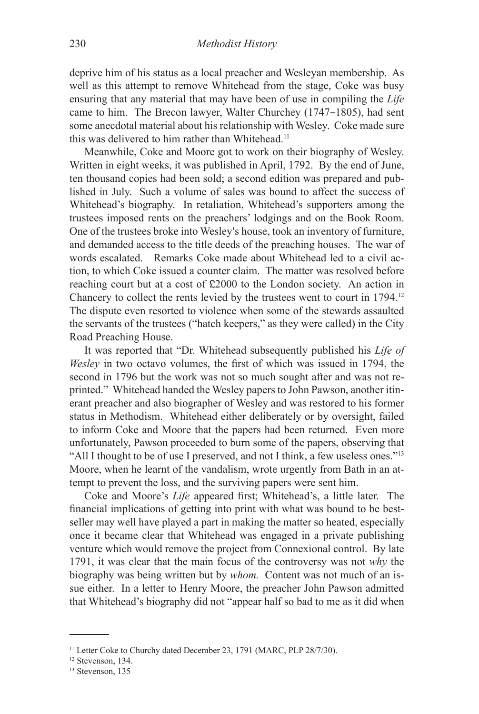deprive him of his status as a local preacher and Wesleyan membership. As well as this attempt to remove Whitehead from the stage, Coke was busy ensuring that any material that may have been of use in compiling the *Life* came to him. The Brecon lawyer, Walter Churchey (1747–1805), had sent some anecdotal material about his relationship with Wesley. Coke made sure this was delivered to him rather than Whitehead.<sup>11</sup>

Meanwhile, Coke and Moore got to work on their biography of Wesley. Written in eight weeks, it was published in April, 1792. By the end of June, ten thousand copies had been sold; a second edition was prepared and published in July. Such a volume of sales was bound to affect the success of Whitehead's biography. In retaliation, Whitehead's supporters among the trustees imposed rents on the preachers' lodgings and on the Book Room. One of the trustees broke into Wesley's house, took an inventory of furniture, and demanded access to the title deeds of the preaching houses. The war of words escalated. Remarks Coke made about Whitehead led to a civil action, to which Coke issued a counter claim. The matter was resolved before reaching court but at a cost of £2000 to the London society. An action in Chancery to collect the rents levied by the trustees went to court in 1794.12 The dispute even resorted to violence when some of the stewards assaulted the servants of the trustees ("hatch keepers," as they were called) in the City Road Preaching House.

It was reported that "Dr. Whitehead subsequently published his *Life of Wesley* in two octavo volumes, the first of which was issued in 1794, the second in 1796 but the work was not so much sought after and was not reprinted." Whitehead handed the Wesley papers to John Pawson, another itinerant preacher and also biographer of Wesley and was restored to his former status in Methodism. Whitehead either deliberately or by oversight, failed to inform Coke and Moore that the papers had been returned. Even more unfortunately, Pawson proceeded to burn some of the papers, observing that "All I thought to be of use I preserved, and not I think, a few useless ones."<sup>13</sup> Moore, when he learnt of the vandalism, wrote urgently from Bath in an attempt to prevent the loss, and the surviving papers were sent him.

Coke and Moore's *Life* appeared first; Whitehead's, a little later. The financial implications of getting into print with what was bound to be bestseller may well have played a part in making the matter so heated, especially once it became clear that Whitehead was engaged in a private publishing venture which would remove the project from Connexional control. By late 1791, it was clear that the main focus of the controversy was not *why* the biography was being written but by *whom.* Content was not much of an issue either. In a letter to Henry Moore, the preacher John Pawson admitted that Whitehead's biography did not "appear half so bad to me as it did when

<sup>&</sup>lt;sup>11</sup> Letter Coke to Churchy dated December 23, 1791 (MARC, PLP 28/7/30).

<sup>&</sup>lt;sup>12</sup> Stevenson, 134.

<sup>&</sup>lt;sup>13</sup> Stevenson, 135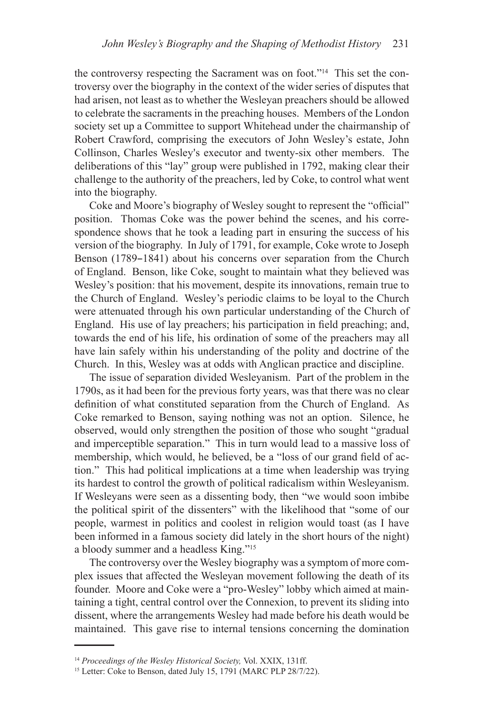the controversy respecting the Sacrament was on foot."14 This set the controversy over the biography in the context of the wider series of disputes that had arisen, not least as to whether the Wesleyan preachers should be allowed to celebrate the sacraments in the preaching houses. Members of the London society set up a Committee to support Whitehead under the chairmanship of Robert Crawford, comprising the executors of John Wesley's estate, John Collinson, Charles Wesley's executor and twenty-six other members. The deliberations of this "lay" group were published in 1792, making clear their challenge to the authority of the preachers, led by Coke, to control what went into the biography.

Coke and Moore's biography of Wesley sought to represent the "official" position. Thomas Coke was the power behind the scenes, and his correspondence shows that he took a leading part in ensuring the success of his version of the biography. In July of 1791, for example, Coke wrote to Joseph Benson (1789–1841) about his concerns over separation from the Church of England. Benson, like Coke, sought to maintain what they believed was Wesley's position: that his movement, despite its innovations, remain true to the Church of England. Wesley's periodic claims to be loyal to the Church were attenuated through his own particular understanding of the Church of England. His use of lay preachers; his participation in field preaching; and, towards the end of his life, his ordination of some of the preachers may all have lain safely within his understanding of the polity and doctrine of the Church. In this, Wesley was at odds with Anglican practice and discipline.

The issue of separation divided Wesleyanism. Part of the problem in the 1790s, as it had been for the previous forty years, was that there was no clear definition of what constituted separation from the Church of England. As Coke remarked to Benson, saying nothing was not an option. Silence, he observed, would only strengthen the position of those who sought "gradual and imperceptible separation." This in turn would lead to a massive loss of membership, which would, he believed, be a "loss of our grand field of action." This had political implications at a time when leadership was trying its hardest to control the growth of political radicalism within Wesleyanism. If Wesleyans were seen as a dissenting body, then "we would soon imbibe the political spirit of the dissenters" with the likelihood that "some of our people, warmest in politics and coolest in religion would toast (as I have been informed in a famous society did lately in the short hours of the night) a bloody summer and a headless King."15

The controversy over the Wesley biography was a symptom of more complex issues that affected the Wesleyan movement following the death of its founder. Moore and Coke were a "pro-Wesley" lobby which aimed at maintaining a tight, central control over the Connexion, to prevent its sliding into dissent, where the arrangements Wesley had made before his death would be maintained. This gave rise to internal tensions concerning the domination

<sup>14</sup> *Proceedings of the Wesley Historical Society,* Vol. XXIX, 131ff.

<sup>&</sup>lt;sup>15</sup> Letter: Coke to Benson, dated July 15, 1791 (MARC PLP 28/7/22).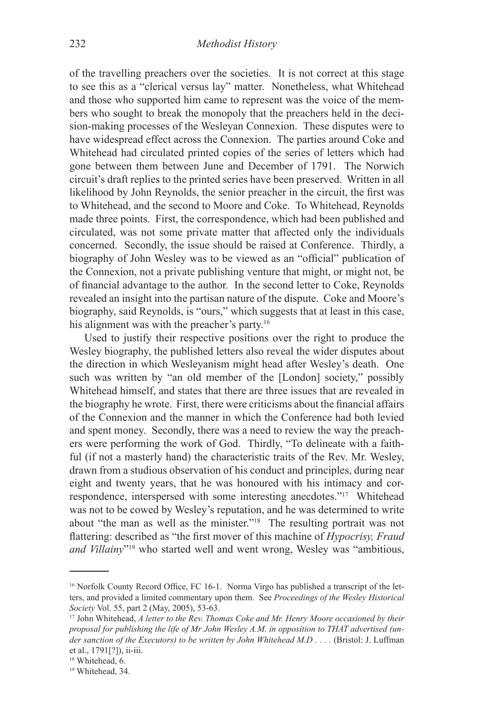of the travelling preachers over the societies. It is not correct at this stage to see this as a "clerical versus lay" matter. Nonetheless, what Whitehead and those who supported him came to represent was the voice of the members who sought to break the monopoly that the preachers held in the decision-making processes of the Wesleyan Connexion. These disputes were to have widespread effect across the Connexion. The parties around Coke and Whitehead had circulated printed copies of the series of letters which had gone between them between June and December of 1791. The Norwich circuit's draft replies to the printed series have been preserved. Written in all likelihood by John Reynolds, the senior preacher in the circuit, the first was to Whitehead, and the second to Moore and Coke. To Whitehead, Reynolds made three points. First, the correspondence, which had been published and circulated, was not some private matter that affected only the individuals concerned. Secondly, the issue should be raised at Conference. Thirdly, a biography of John Wesley was to be viewed as an "official" publication of the Connexion, not a private publishing venture that might, or might not, be of financial advantage to the author. In the second letter to Coke, Reynolds revealed an insight into the partisan nature of the dispute. Coke and Moore's biography, said Reynolds, is "ours," which suggests that at least in this case, his alignment was with the preacher's party.<sup>16</sup>

Used to justify their respective positions over the right to produce the Wesley biography, the published letters also reveal the wider disputes about the direction in which Wesleyanism might head after Wesley's death. One such was written by "an old member of the [London] society," possibly Whitehead himself, and states that there are three issues that are revealed in the biography he wrote. First, there were criticisms about the financial affairs of the Connexion and the manner in which the Conference had both levied and spent money. Secondly, there was a need to review the way the preachers were performing the work of God. Thirdly, "To delineate with a faithful (if not a masterly hand) the characteristic traits of the Rev. Mr. Wesley, drawn from a studious observation of his conduct and principles, during near eight and twenty years, that he was honoured with his intimacy and correspondence, interspersed with some interesting anecdotes."17 Whitehead was not to be cowed by Wesley's reputation, and he was determined to write about "the man as well as the minister."18 The resulting portrait was not flattering: described as "the first mover of this machine of *Hypocrisy, Fraud and Villainy*"19 who started well and went wrong, Wesley was "ambitious,

<sup>&</sup>lt;sup>16</sup> Norfolk County Record Office, FC 16-1. Norma Virgo has published a transcript of the letters, and provided a limited commentary upon them. See *Proceedings of the Wesley Historical Society* Vol. 55, part 2 (May, 2005), 53-63.

<sup>17</sup> John Whitehead, *A letter to the Rev. Thomas Coke and Mr. Henry Moore occasioned by their proposal for publishing the life of Mr John Wesley A.M. in opposition to THAT advertised (un*der sanction of the Executors) to be written by John Whitehead M.D . . . . (Bristol: J. Luffman et al., 1791[?]), ii-iii.

<sup>&</sup>lt;sup>18</sup> Whitehead, 6.

<sup>&</sup>lt;sup>19</sup> Whitehead, 34.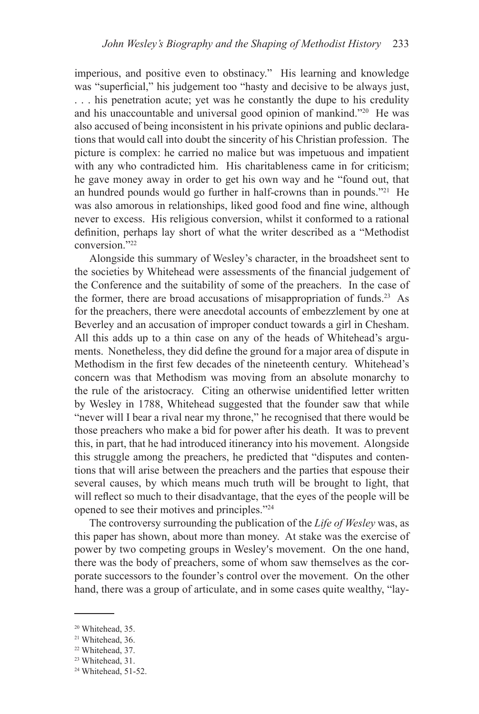imperious, and positive even to obstinacy." His learning and knowledge was "superficial," his judgement too "hasty and decisive to be always just, . . . his penetration acute; yet was he constantly the dupe to his credulity and his unaccountable and universal good opinion of mankind."20 He was also accused of being inconsistent in his private opinions and public declarations that would call into doubt the sincerity of his Christian profession. The picture is complex: he carried no malice but was impetuous and impatient with any who contradicted him. His charitableness came in for criticism; he gave money away in order to get his own way and he "found out, that an hundred pounds would go further in half-crowns than in pounds."21 He was also amorous in relationships, liked good food and fine wine, although never to excess. His religious conversion, whilst it conformed to a rational definition, perhaps lay short of what the writer described as a "Methodist conversion."22

Alongside this summary of Wesley's character, in the broadsheet sent to the societies by Whitehead were assessments of the financial judgement of the Conference and the suitability of some of the preachers. In the case of the former, there are broad accusations of misappropriation of funds.<sup>23</sup> As for the preachers, there were anecdotal accounts of embezzlement by one at Beverley and an accusation of improper conduct towards a girl in Chesham. All this adds up to a thin case on any of the heads of Whitehead's arguments. Nonetheless, they did define the ground for a major area of dispute in Methodism in the first few decades of the nineteenth century. Whitehead's concern was that Methodism was moving from an absolute monarchy to the rule of the aristocracy. Citing an otherwise unidentified letter written by Wesley in 1788, Whitehead suggested that the founder saw that while "never will I bear a rival near my throne," he recognised that there would be those preachers who make a bid for power after his death. It was to prevent this, in part, that he had introduced itinerancy into his movement. Alongside this struggle among the preachers, he predicted that "disputes and contentions that will arise between the preachers and the parties that espouse their several causes, by which means much truth will be brought to light, that will reflect so much to their disadvantage, that the eyes of the people will be opened to see their motives and principles."24

The controversy surrounding the publication of the *Life of Wesley* was, as this paper has shown, about more than money. At stake was the exercise of power by two competing groups in Wesley's movement. On the one hand, there was the body of preachers, some of whom saw themselves as the corporate successors to the founder's control over the movement. On the other hand, there was a group of articulate, and in some cases quite wealthy, "lay-

<sup>&</sup>lt;sup>20</sup> Whitehead, 35.

<sup>&</sup>lt;sup>21</sup> Whitehead, 36.

<sup>22</sup> Whitehead, 37.

<sup>&</sup>lt;sup>23</sup> Whitehead, 31.

<sup>24</sup> Whitehead, 51-52.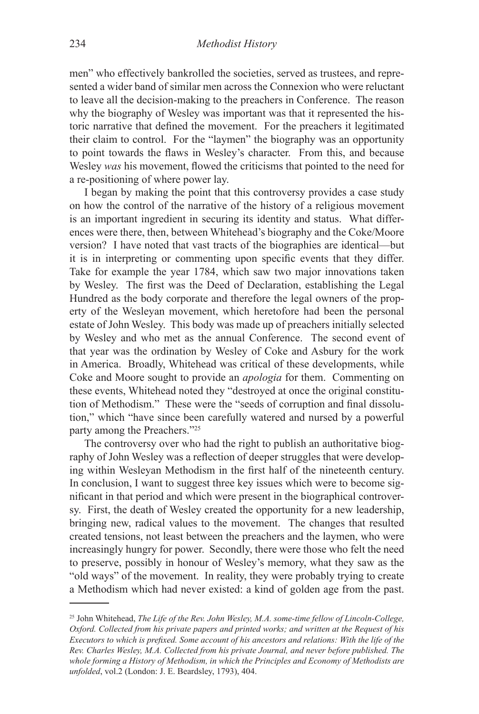men" who effectively bankrolled the societies, served as trustees, and represented a wider band of similar men across the Connexion who were reluctant to leave all the decision-making to the preachers in Conference. The reason why the biography of Wesley was important was that it represented the historic narrative that defined the movement. For the preachers it legitimated their claim to control. For the "laymen" the biography was an opportunity to point towards the flaws in Wesley's character. From this, and because Wesley *was* his movement, flowed the criticisms that pointed to the need for a re-positioning of where power lay.

I began by making the point that this controversy provides a case study on how the control of the narrative of the history of a religious movement is an important ingredient in securing its identity and status. What differences were there, then, between Whitehead's biography and the Coke/Moore version? I have noted that vast tracts of the biographies are identical—but it is in interpreting or commenting upon specific events that they differ. Take for example the year 1784, which saw two major innovations taken by Wesley. The first was the Deed of Declaration, establishing the Legal Hundred as the body corporate and therefore the legal owners of the property of the Wesleyan movement, which heretofore had been the personal estate of John Wesley. This body was made up of preachers initially selected by Wesley and who met as the annual Conference. The second event of that year was the ordination by Wesley of Coke and Asbury for the work in America. Broadly, Whitehead was critical of these developments, while Coke and Moore sought to provide an *apologia* for them. Commenting on these events, Whitehead noted they "destroyed at once the original constitution of Methodism." These were the "seeds of corruption and final dissolution," which "have since been carefully watered and nursed by a powerful party among the Preachers."25

The controversy over who had the right to publish an authoritative biography of John Wesley was a reflection of deeper struggles that were developing within Wesleyan Methodism in the first half of the nineteenth century. In conclusion, I want to suggest three key issues which were to become significant in that period and which were present in the biographical controversy. First, the death of Wesley created the opportunity for a new leadership, bringing new, radical values to the movement. The changes that resulted created tensions, not least between the preachers and the laymen, who were increasingly hungry for power. Secondly, there were those who felt the need to preserve, possibly in honour of Wesley's memory, what they saw as the "old ways" of the movement. In reality, they were probably trying to create a Methodism which had never existed: a kind of golden age from the past.

<sup>25</sup> John Whitehead, *The Life of the Rev. John Wesley, M.A. some-time fellow of Lincoln-College, Oxford. Collected from his private papers and printed works; and written at the Request of his Executors to which is prefixed. Some account of his ancestors and relations: With the life of the Rev. Charles Wesley, M.A. Collected from his private Journal, and never before published. The whole forming a History of Methodism, in which the Principles and Economy of Methodists are unfolded*, vol.2 (London: J. E. Beardsley, 1793), 404.